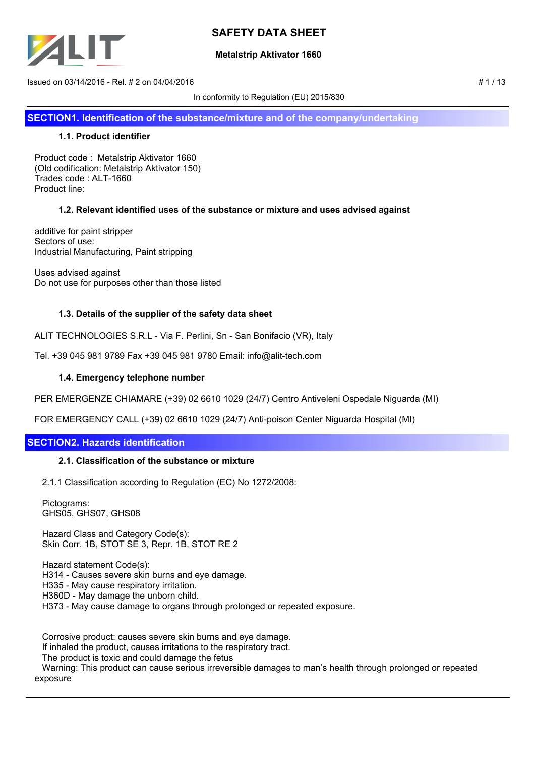

## **Metalstrip Aktivator 1660**

 $Is sued on 03/14/2016 - Rel. # 2 on 04/04/2016$   $# 1/13$ 

In conformity to Regulation (EU) 2015/830

**SECTION1. Identification of the substance/mixture and of the company/undertaking**

## **1.1. Product identifier**

Product code : Metalstrip Aktivator 1660 (Old codification: Metalstrip Aktivator 150) Trades code : ALT-1660 Product line:

## **1.2. Relevant identified uses of the substance or mixture and uses advised against**

additive for paint stripper Sectors of use: Industrial Manufacturing, Paint stripping

Uses advised against Do not use for purposes other than those listed

## **1.3. Details of the supplier of the safety data sheet**

ALIT TECHNOLOGIES S.R.L - Via F. Perlini, Sn - San Bonifacio (VR), Italy

Tel. +39 045 981 9789 Fax +39 045 981 9780 Email: info@alit-tech.com

### **1.4. Emergency telephone number**

PER EMERGENZE CHIAMARE (+39) 02 6610 1029 (24/7) Centro Antiveleni Ospedale Niguarda (MI)

FOR EMERGENCY CALL (+39) 02 6610 1029 (24/7) Anti-poison Center Niguarda Hospital (MI)

## **SECTION2. Hazards identification**

#### **2.1. Classification of the substance or mixture**

2.1.1 Classification according to Regulation (EC) No 1272/2008:

 Pictograms: GHS05, GHS07, GHS08

 Hazard Class and Category Code(s): Skin Corr. 1B, STOT SE 3, Repr. 1B, STOT RE 2

 Hazard statement Code(s): H314 - Causes severe skin burns and eye damage. H335 - May cause respiratory irritation. H360D - May damage the unborn child. H373 - May cause damage to organs through prolonged or repeated exposure.

 Corrosive product: causes severe skin burns and eye damage. If inhaled the product, causes irritations to the respiratory tract. The product is toxic and could damage the fetus Warning: This product can cause serious irreversible damages to man's health through prolonged or repeated exposure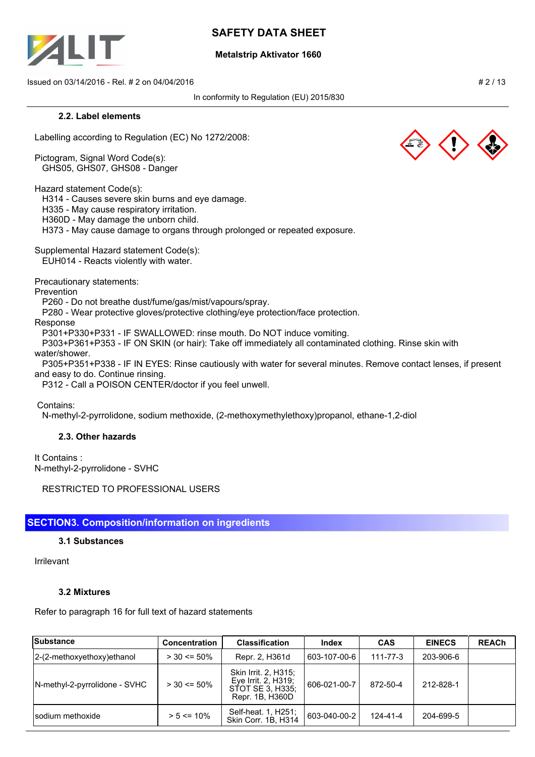

### **Metalstrip Aktivator 1660**

 $Is sued on 03/14/2016 - Rel. # 2 on 04/04/2016$   $# 2/13$ 

In conformity to Regulation (EU) 2015/830

#### **2.2. Label elements**

Labelling according to Regulation (EC) No 1272/2008:

Pictogram, Signal Word Code(s): GHS05, GHS07, GHS08 - Danger

Hazard statement Code(s):

H314 - Causes severe skin burns and eye damage.

H335 - May cause respiratory irritation.

H360D - May damage the unborn child.

H373 - May cause damage to organs through prolonged or repeated exposure.

Supplemental Hazard statement Code(s): EUH014 - Reacts violently with water.

Precautionary statements:

Prevention

P260 - Do not breathe dust/fume/gas/mist/vapours/spray.

P280 - Wear protective gloves/protective clothing/eye protection/face protection.

Response

P301+P330+P331 - IF SWALLOWED: rinse mouth. Do NOT induce vomiting.

 P303+P361+P353 - IF ON SKIN (or hair): Take off immediately all contaminated clothing. Rinse skin with water/shower.

 P305+P351+P338 - IF IN EYES: Rinse cautiously with water for several minutes. Remove contact lenses, if present and easy to do. Continue rinsing.

P312 - Call a POISON CENTER/doctor if you feel unwell.

Contains:

N-methyl-2-pyrrolidone, sodium methoxide, (2-methoxymethylethoxy)propanol, ethane-1,2-diol

## **2.3. Other hazards**

It Contains : N-methyl-2-pyrrolidone - SVHC

RESTRICTED TO PROFESSIONAL USERS

## **SECTION3. Composition/information on ingredients**

#### **3.1 Substances**

Irrilevant

## **3.2 Mixtures**

Refer to paragraph 16 for full text of hazard statements

| Substance                     | <b>Concentration</b> | <b>Classification</b>                                                              | <b>Index</b> | <b>CAS</b>     | <b>EINECS</b> | <b>REACh</b> |
|-------------------------------|----------------------|------------------------------------------------------------------------------------|--------------|----------------|---------------|--------------|
| 2-(2-methoxyethoxy) ethanol   | $>$ 30 <= 50%        | Repr. 2, H361d                                                                     | 603-107-00-6 | $111 - 77 - 3$ | 203-906-6     |              |
| N-methyl-2-pyrrolidone - SVHC | $>$ 30 <= 50%        | Skin Irrit. 2, H315;<br>Eye Irrit. 2, H319;<br>STOT SE 3. H335:<br>Repr. 1B. H360D | 606-021-00-7 | 872-50-4       | 212-828-1     |              |
| Isodium methoxide             | $> 5 \le 10\%$       | Self-heat. 1, H251;<br>Skin Corr. 1B, H314                                         | 603-040-00-2 | 124-41-4       | 204-699-5     |              |

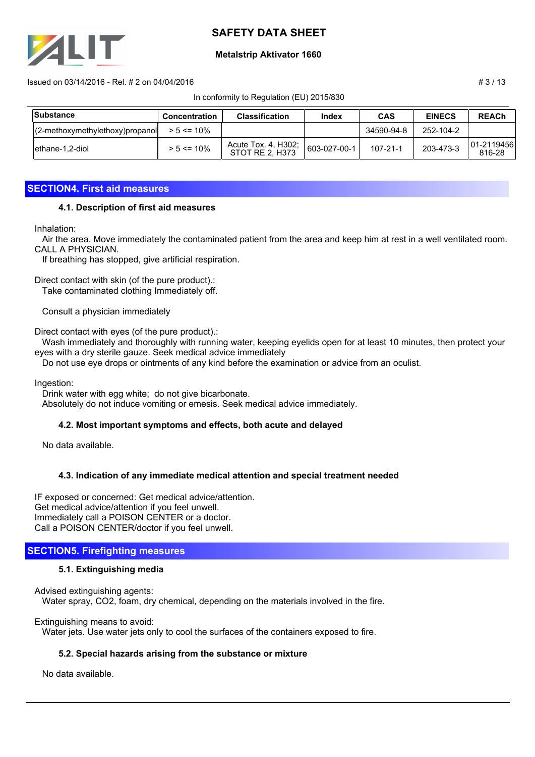

### **Metalstrip Aktivator 1660**

 $\pm$  13 Issued on 03/14/2016 - Rel. # 2 on 04/04/2016

In conformity to Regulation (EU) 2015/830

| Substance              | Concentration  | <b>Classification</b>                         | Index        | <b>CAS</b>     | <b>EINECS</b> | <b>REACh</b>           |
|------------------------|----------------|-----------------------------------------------|--------------|----------------|---------------|------------------------|
| $(2-methoxy method V)$ | $> 5 \le 10\%$ |                                               |              | 34590-94-8     | 252-104-2     |                        |
| lethane-1.2-diol       | $> 5 \le 10\%$ | Acute Tox. 4, H302;<br><b>STOT RE 2, H373</b> | 603-027-00-1 | $107 - 21 - 1$ | 203-473-3     | 01-2119456  <br>816-28 |

## **SECTION4. First aid measures**

### **4.1. Description of first aid measures**

Inhalation:

 Air the area. Move immediately the contaminated patient from the area and keep him at rest in a well ventilated room. CALL A PHYSICIAN.

If breathing has stopped, give artificial respiration.

Direct contact with skin (of the pure product).: Take contaminated clothing Immediately off.

Consult a physician immediately

Direct contact with eyes (of the pure product).:

 Wash immediately and thoroughly with running water, keeping eyelids open for at least 10 minutes, then protect your eyes with a dry sterile gauze. Seek medical advice immediately

Do not use eye drops or ointments of any kind before the examination or advice from an oculist.

Ingestion:

 Drink water with egg white; do not give bicarbonate. Absolutely do not induce vomiting or emesis. Seek medical advice immediately.

## **4.2. Most important symptoms and effects, both acute and delayed**

No data available.

## **4.3. Indication of any immediate medical attention and special treatment needed**

IF exposed or concerned: Get medical advice/attention. Get medical advice/attention if you feel unwell. Immediately call a POISON CENTER or a doctor. Call a POISON CENTER/doctor if you feel unwell.

## **SECTION5. Firefighting measures**

## **5.1. Extinguishing media**

Advised extinguishing agents: Water spray, CO2, foam, dry chemical, depending on the materials involved in the fire.

Extinguishing means to avoid: Water jets. Use water jets only to cool the surfaces of the containers exposed to fire.

## **5.2. Special hazards arising from the substance or mixture**

No data available.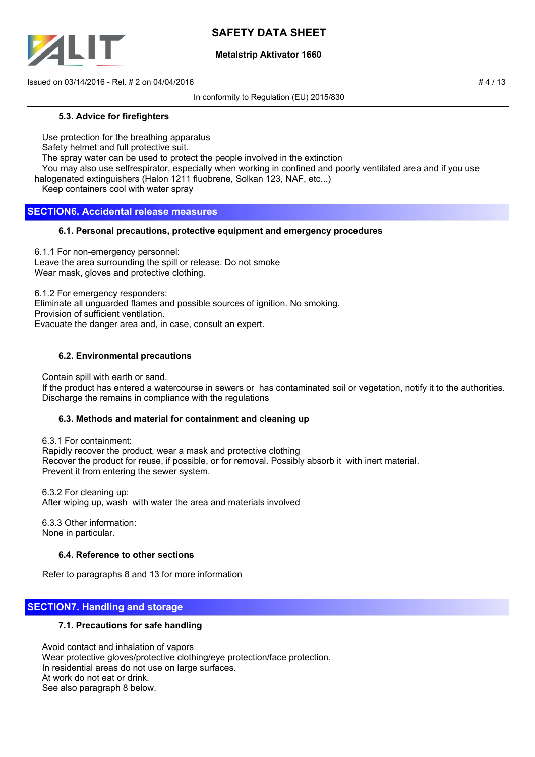

## **Metalstrip Aktivator 1660**

 $\frac{1}{4}$  Issued on 03/14/2016 - Rel. # 2 on 04/04/2016

In conformity to Regulation (EU) 2015/830

### **5.3. Advice for firefighters**

Use protection for the breathing apparatus

Safety helmet and full protective suit.

The spray water can be used to protect the people involved in the extinction

You may also use selfrespirator, especially when working in confined and poorly ventilated area and if you use

halogenated extinguishers (Halon 1211 fluobrene, Solkan 123, NAF, etc...)

Keep containers cool with water spray

## **SECTION6. Accidental release measures**

## **6.1. Personal precautions, protective equipment and emergency procedures**

6.1.1 For non-emergency personnel: Leave the area surrounding the spill or release. Do not smoke Wear mask, gloves and protective clothing.

6.1.2 For emergency responders:

Eliminate all unguarded flames and possible sources of ignition. No smoking.

Provision of sufficient ventilation.

Evacuate the danger area and, in case, consult an expert.

## **6.2. Environmental precautions**

Contain spill with earth or sand.

 If the product has entered a watercourse in sewers or has contaminated soil or vegetation, notify it to the authorities. Discharge the remains in compliance with the regulations

## **6.3. Methods and material for containment and cleaning up**

 6.3.1 For containment: Rapidly recover the product, wear a mask and protective clothing Recover the product for reuse, if possible, or for removal. Possibly absorb it with inert material. Prevent it from entering the sewer system.

 6.3.2 For cleaning up: After wiping up, wash with water the area and materials involved

 6.3.3 Other information: None in particular.

## **6.4. Reference to other sections**

Refer to paragraphs 8 and 13 for more information

## **SECTION7. Handling and storage**

## **7.1. Precautions for safe handling**

 Avoid contact and inhalation of vapors Wear protective gloves/protective clothing/eye protection/face protection. In residential areas do not use on large surfaces. At work do not eat or drink. See also paragraph 8 below.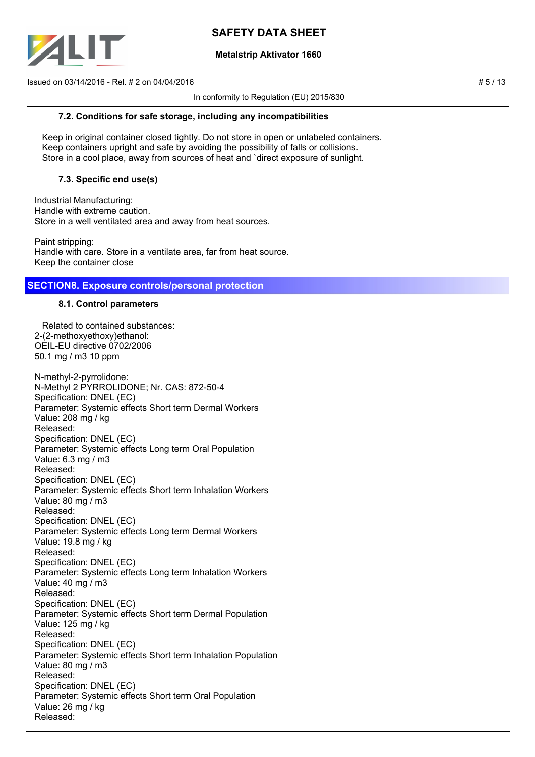

### **Metalstrip Aktivator 1660**

 $Is sued on 03/14/2016 - Rel. # 2 on 04/04/2016$   $# 5/13$ 

In conformity to Regulation (EU) 2015/830

#### **7.2. Conditions for safe storage, including any incompatibilities**

 Keep in original container closed tightly. Do not store in open or unlabeled containers. Keep containers upright and safe by avoiding the possibility of falls or collisions. Store in a cool place, away from sources of heat and `direct exposure of sunlight.

## **7.3. Specific end use(s)**

Industrial Manufacturing: Handle with extreme caution. Store in a well ventilated area and away from heat sources.

Paint stripping: Handle with care. Store in a ventilate area, far from heat source. Keep the container close

## **SECTION8. Exposure controls/personal protection**

### **8.1. Control parameters**

 Related to contained substances: 2-(2-methoxyethoxy)ethanol: OEIL-EU directive 0702/2006 50.1 mg / m3 10 ppm

N-methyl-2-pyrrolidone: N-Methyl 2 PYRROLIDONE; Nr. CAS: 872-50-4 Specification: DNEL (EC) Parameter: Systemic effects Short term Dermal Workers Value: 208 mg / kg Released: Specification: DNEL (EC) Parameter: Systemic effects Long term Oral Population Value: 6.3 mg / m3 Released: Specification: DNEL (EC) Parameter: Systemic effects Short term Inhalation Workers Value: 80 mg / m3 Released: Specification: DNEL (EC) Parameter: Systemic effects Long term Dermal Workers Value: 19.8 mg / kg Released: Specification: DNEL (EC) Parameter: Systemic effects Long term Inhalation Workers Value: 40 mg / m3 Released: Specification: DNEL (EC) Parameter: Systemic effects Short term Dermal Population Value: 125 mg / kg Released: Specification: DNEL (EC) Parameter: Systemic effects Short term Inhalation Population Value: 80 mg / m3 Released: Specification: DNEL (EC) Parameter: Systemic effects Short term Oral Population Value: 26 mg / kg Released: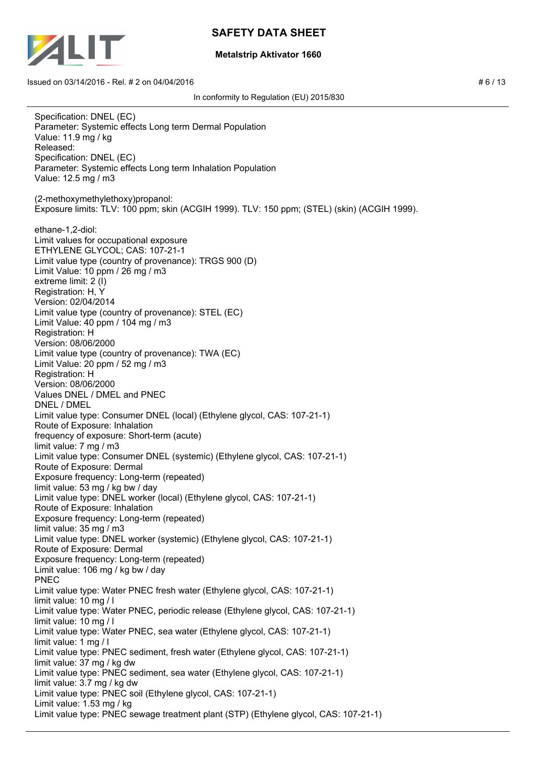

### **Metalstrip Aktivator 1660**

Specification: DNEL (EC) Parameter: Systemic effects Long term Dermal Population Value: 11.9 mg / kg Released: Specification: DNEL (EC) Parameter: Systemic effects Long term Inhalation Population Value: 12.5 mg / m3 (2-methoxymethylethoxy)propanol: Exposure limits: TLV: 100 ppm; skin (ACGIH 1999). TLV: 150 ppm; (STEL) (skin) (ACGIH 1999). ethane-1,2-diol: Limit values for occupational exposure ETHYLENE GLYCOL; CAS: 107-21-1 Limit value type (country of provenance): TRGS 900 (D) Limit Value: 10 ppm / 26 mg / m3 extreme limit: 2 (I) Registration: H, Y Version: 02/04/2014 Limit value type (country of provenance): STEL (EC) Limit Value: 40 ppm / 104 mg / m3 Registration: H Version: 08/06/2000 Limit value type (country of provenance): TWA (EC) Limit Value: 20 ppm / 52 mg / m3 Registration: H Version: 08/06/2000 Values DNEL / DMEL and PNEC DNEL / DMEL Limit value type: Consumer DNEL (local) (Ethylene glycol, CAS: 107-21-1) Route of Exposure: Inhalation frequency of exposure: Short-term (acute) limit value: 7 mg / m3 Limit value type: Consumer DNEL (systemic) (Ethylene glycol, CAS: 107-21-1) Route of Exposure: Dermal Exposure frequency: Long-term (repeated) limit value: 53 mg / kg bw / day Limit value type: DNEL worker (local) (Ethylene glycol, CAS: 107-21-1) Route of Exposure: Inhalation Exposure frequency: Long-term (repeated) limit value: 35 mg / m3 Limit value type: DNEL worker (systemic) (Ethylene glycol, CAS: 107-21-1) Route of Exposure: Dermal Exposure frequency: Long-term (repeated) Limit value: 106 mg / kg bw / day PNEC Limit value type: Water PNEC fresh water (Ethylene glycol, CAS: 107-21-1) limit value: 10 mg / l Limit value type: Water PNEC, periodic release (Ethylene glycol, CAS: 107-21-1) limit value: 10 mg / l Limit value type: Water PNEC, sea water (Ethylene glycol, CAS: 107-21-1) limit value: 1 mg / l Limit value type: PNEC sediment, fresh water (Ethylene glycol, CAS: 107-21-1) limit value: 37 mg / kg dw Limit value type: PNEC sediment, sea water (Ethylene glycol, CAS: 107-21-1) limit value: 3.7 mg / kg dw Limit value type: PNEC soil (Ethylene glycol, CAS: 107-21-1) Limit value: 1.53 mg / kg Limit value type: PNEC sewage treatment plant (STP) (Ethylene glycol, CAS: 107-21-1)

In conformity to Regulation (EU) 2015/830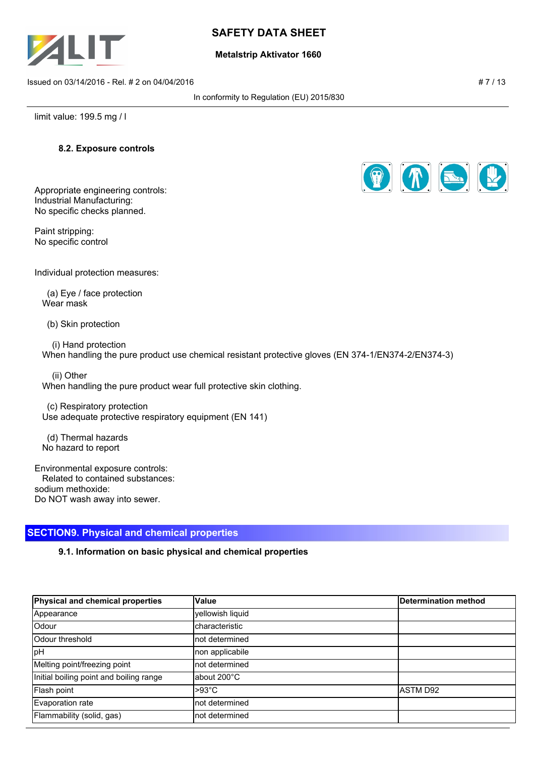

### **Metalstrip Aktivator 1660**

Issued on 03/14/2016 - Rel. # 2 on 04/04/2016 **# 7 / 13** All and the state of the state of the state of the state of the state of the state of the state of the state of the state of the state of the state of the state of t

In conformity to Regulation (EU) 2015/830

limit value: 199.5 mg / l

### **8.2. Exposure controls**

Appropriate engineering controls: Industrial Manufacturing: No specific checks planned.

Paint stripping: No specific control



Individual protection measures:

 (a) Eye / face protection Wear mask

(b) Skin protection

 (i) Hand protection When handling the pure product use chemical resistant protective gloves (EN 374-1/EN374-2/EN374-3)

 (ii) Other When handling the pure product wear full protective skin clothing.

 (c) Respiratory protection Use adequate protective respiratory equipment (EN 141)

 (d) Thermal hazards No hazard to report

Environmental exposure controls: Related to contained substances: sodium methoxide: Do NOT wash away into sewer.

## **SECTION9. Physical and chemical properties**

## **9.1. Information on basic physical and chemical properties**

| Physical and chemical properties        | <b>Value</b>          | Determination method |
|-----------------------------------------|-----------------------|----------------------|
| Appearance                              | yellowish liquid      |                      |
| Odour                                   | <b>characteristic</b> |                      |
| lOdour threshold                        | Inot determined       |                      |
| pH                                      | non applicabile       |                      |
| Melting point/freezing point            | Inot determined       |                      |
| Initial boiling point and boiling range | labout 200°C          |                      |
| Flash point                             | $>93^{\circ}$ C       | IASTM D92            |
| Evaporation rate                        | Inot determined       |                      |
| Flammability (solid, gas)               | not determined        |                      |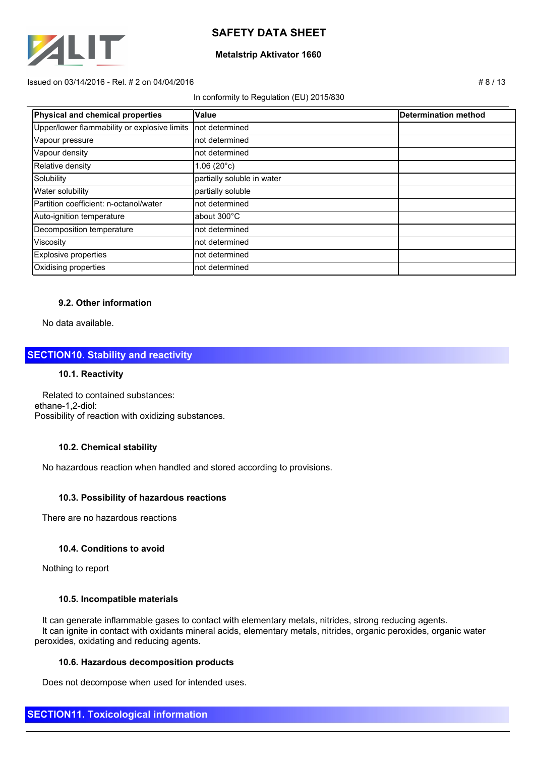

### **Metalstrip Aktivator 1660**

#### $Is sued on 03/14/2016 - Rel. # 2 on 04/04/2016$   $# 8 / 13$

#### In conformity to Regulation (EU) 2015/830

| Physical and chemical properties             | Value                      | Determination method |
|----------------------------------------------|----------------------------|----------------------|
| Upper/lower flammability or explosive limits | Inot determined            |                      |
| Vapour pressure                              | not determined             |                      |
| Vapour density                               | not determined             |                      |
| Relative density                             | $1.06(20^{\circ}c)$        |                      |
| Solubility                                   | partially soluble in water |                      |
| <b>Water solubility</b>                      | partially soluble          |                      |
| Partition coefficient: n-octanol/water       | not determined             |                      |
| Auto-ignition temperature                    | about 300°C                |                      |
| Decomposition temperature                    | not determined             |                      |
| Viscosity                                    | not determined             |                      |
| Explosive properties                         | not determined             |                      |
| Oxidising properties                         | not determined             |                      |

## **9.2. Other information**

No data available.

## **SECTION10. Stability and reactivity**

#### **10.1. Reactivity**

 Related to contained substances: ethane-1,2-diol: Possibility of reaction with oxidizing substances.

#### **10.2. Chemical stability**

No hazardous reaction when handled and stored according to provisions.

#### **10.3. Possibility of hazardous reactions**

There are no hazardous reactions

#### **10.4. Conditions to avoid**

Nothing to report

#### **10.5. Incompatible materials**

 It can generate inflammable gases to contact with elementary metals, nitrides, strong reducing agents. It can ignite in contact with oxidants mineral acids, elementary metals, nitrides, organic peroxides, organic water peroxides, oxidating and reducing agents.

#### **10.6. Hazardous decomposition products**

Does not decompose when used for intended uses.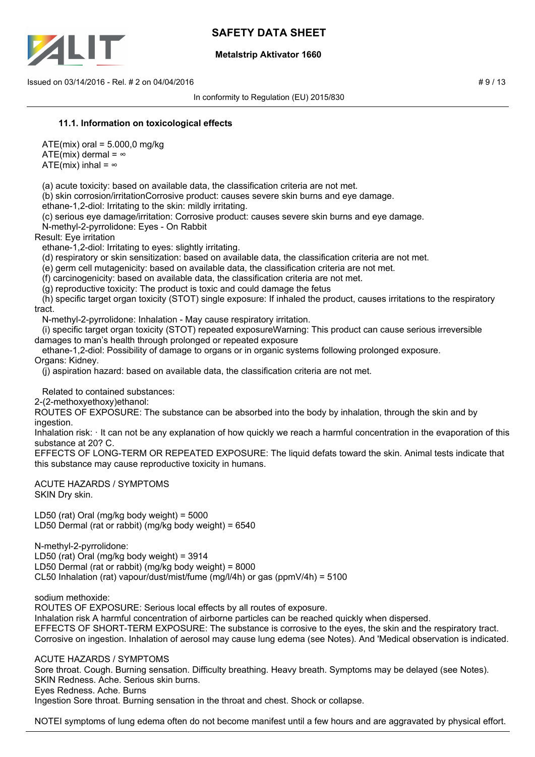

## **Metalstrip Aktivator 1660**

Issued on 03/14/2016 - Rel. # 2 on 04/04/2016 **# 9 / 13** 

In conformity to Regulation (EU) 2015/830

### **11.1. Information on toxicological effects**

 $ATE(mix)$  oral = 5.000,0 mg/kg ATE(mix) dermal =  $\infty$ ATE(mix) inhal =  $\infty$ 

(a) acute toxicity: based on available data, the classification criteria are not met.

(b) skin corrosion/irritationCorrosive product: causes severe skin burns and eye damage.

ethane-1,2-diol: Irritating to the skin: mildly irritating.

 (c) serious eye damage/irritation: Corrosive product: causes severe skin burns and eye damage. N-methyl-2-pyrrolidone: Eyes - On Rabbit

Result: Eye irritation

ethane-1,2-diol: Irritating to eyes: slightly irritating.

(d) respiratory or skin sensitization: based on available data, the classification criteria are not met.

(e) germ cell mutagenicity: based on available data, the classification criteria are not met.

(f) carcinogenicity: based on available data, the classification criteria are not met.

(g) reproductive toxicity: The product is toxic and could damage the fetus

 (h) specific target organ toxicity (STOT) single exposure: If inhaled the product, causes irritations to the respiratory tract.

N-methyl-2-pyrrolidone: Inhalation - May cause respiratory irritation.

 (i) specific target organ toxicity (STOT) repeated exposureWarning: This product can cause serious irreversible damages to man's health through prolonged or repeated exposure

ethane-1,2-diol: Possibility of damage to organs or in organic systems following prolonged exposure.

Organs: Kidney.

(j) aspiration hazard: based on available data, the classification criteria are not met.

Related to contained substances:

2-(2-methoxyethoxy)ethanol:

ROUTES OF EXPOSURE: The substance can be absorbed into the body by inhalation, through the skin and by ingestion.

Inhalation risk: It can not be any explanation of how quickly we reach a harmful concentration in the evaporation of this substance at 20? C.

EFFECTS OF LONG-TERM OR REPEATED EXPOSURE: The liquid defats toward the skin. Animal tests indicate that this substance may cause reproductive toxicity in humans.

ACUTE HAZARDS / SYMPTOMS SKIN Dry skin.

LD50 (rat) Oral (mg/kg body weight) = 5000 LD50 Dermal (rat or rabbit) (mg/kg body weight) = 6540

N-methyl-2-pyrrolidone: LD50 (rat) Oral (mg/kg body weight) = 3914 LD50 Dermal (rat or rabbit) (mg/kg body weight) = 8000 CL50 Inhalation (rat) vapour/dust/mist/fume (mg/l/4h) or gas (ppmV/4h) = 5100

sodium methoxide:

ROUTES OF EXPOSURE: Serious local effects by all routes of exposure. Inhalation risk A harmful concentration of airborne particles can be reached quickly when dispersed. EFFECTS OF SHORT-TERM EXPOSURE: The substance is corrosive to the eyes, the skin and the respiratory tract. Corrosive on ingestion. Inhalation of aerosol may cause lung edema (see Notes). And 'Medical observation is indicated.

ACUTE HAZARDS / SYMPTOMS

Sore throat. Cough. Burning sensation. Difficulty breathing. Heavy breath. Symptoms may be delayed (see Notes). SKIN Redness. Ache. Serious skin burns. Eyes Redness. Ache. Burns Ingestion Sore throat. Burning sensation in the throat and chest. Shock or collapse.

NOTEI symptoms of lung edema often do not become manifest until a few hours and are aggravated by physical effort.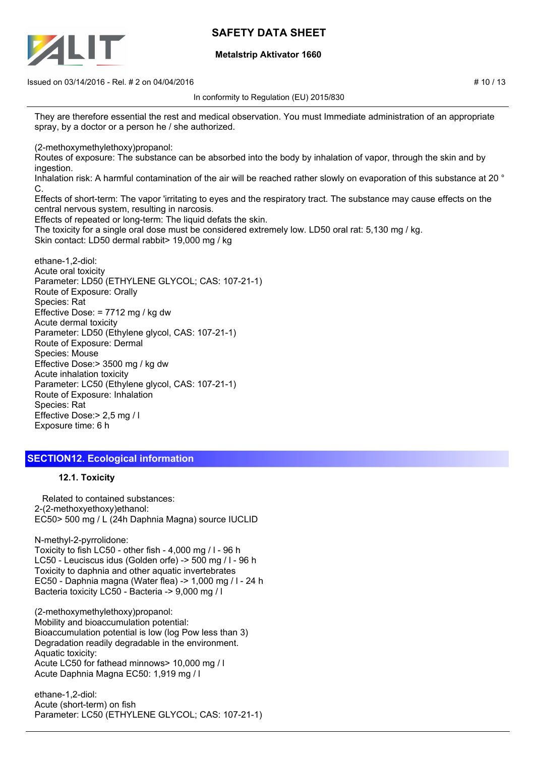

### **Metalstrip Aktivator 1660**

 $\frac{1}{10}$  Issued on 03/14/2016 - Rel. # 2 on 04/04/2016

In conformity to Regulation (EU) 2015/830

They are therefore essential the rest and medical observation. You must Immediate administration of an appropriate spray, by a doctor or a person he / she authorized.

(2-methoxymethylethoxy)propanol:

Routes of exposure: The substance can be absorbed into the body by inhalation of vapor, through the skin and by ingestion.

Inhalation risk: A harmful contamination of the air will be reached rather slowly on evaporation of this substance at 20 ° C.

Effects of short-term: The vapor 'irritating to eyes and the respiratory tract. The substance may cause effects on the central nervous system, resulting in narcosis.

Effects of repeated or long-term: The liquid defats the skin.

The toxicity for a single oral dose must be considered extremely low. LD50 oral rat: 5,130 mg / kg. Skin contact: LD50 dermal rabbit> 19,000 mg / kg

ethane-1,2-diol: Acute oral toxicity Parameter: LD50 (ETHYLENE GLYCOL; CAS: 107-21-1) Route of Exposure: Orally Species: Rat Effective Dose: = 7712 mg / kg dw Acute dermal toxicity Parameter: LD50 (Ethylene glycol, CAS: 107-21-1) Route of Exposure: Dermal Species: Mouse Effective Dose:> 3500 mg / kg dw Acute inhalation toxicity Parameter: LC50 (Ethylene glycol, CAS: 107-21-1) Route of Exposure: Inhalation Species: Rat Effective Dose:> 2,5 mg / l Exposure time: 6 h

## **SECTION12. Ecological information**

## **12.1. Toxicity**

 Related to contained substances: 2-(2-methoxyethoxy)ethanol: EC50> 500 mg / L (24h Daphnia Magna) source IUCLID

N-methyl-2-pyrrolidone: Toxicity to fish LC50 - other fish - 4,000 mg / l - 96 h LC50 - Leuciscus idus (Golden orfe) -> 500 mg / l - 96 h Toxicity to daphnia and other aquatic invertebrates EC50 - Daphnia magna (Water flea) -> 1,000 mg / l - 24 h Bacteria toxicity LC50 - Bacteria -> 9,000 mg / l

(2-methoxymethylethoxy)propanol: Mobility and bioaccumulation potential: Bioaccumulation potential is low (log Pow less than 3) Degradation readily degradable in the environment. Aquatic toxicity: Acute LC50 for fathead minnows> 10,000 mg / l Acute Daphnia Magna EC50: 1,919 mg / l

ethane-1,2-diol: Acute (short-term) on fish Parameter: LC50 (ETHYLENE GLYCOL; CAS: 107-21-1)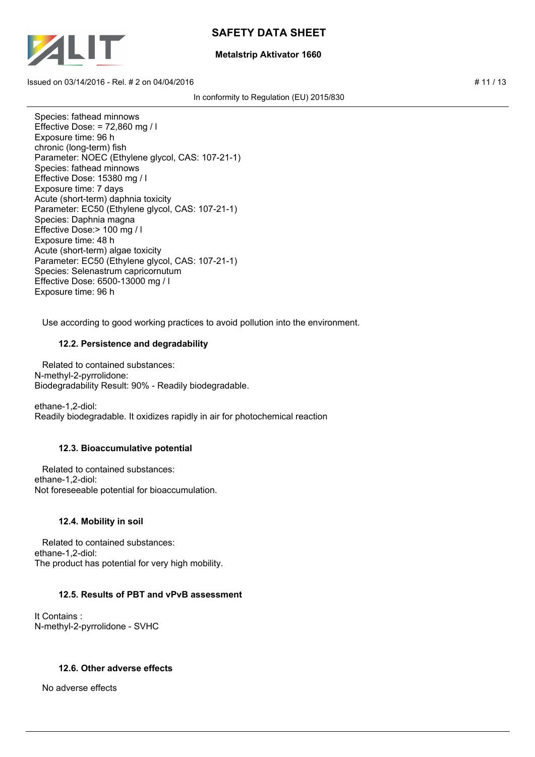

### **Metalstrip Aktivator 1660**

Issued on 03/14/2016 - Rel. # 2 on 04/04/2016 **# 12/2016**  $\qquad \qquad \qquad$  # 11/13

In conformity to Regulation (EU) 2015/830

Species: fathead minnows Effective Dose: = 72,860 mg / l Exposure time: 96 h chronic (long-term) fish Parameter: NOEC (Ethylene glycol, CAS: 107-21-1) Species: fathead minnows Effective Dose: 15380 mg / l Exposure time: 7 days Acute (short-term) daphnia toxicity Parameter: EC50 (Ethylene glycol, CAS: 107-21-1) Species: Daphnia magna Effective Dose:> 100 mg / l Exposure time: 48 h Acute (short-term) algae toxicity Parameter: EC50 (Ethylene glycol, CAS: 107-21-1) Species: Selenastrum capricornutum Effective Dose: 6500-13000 mg / l Exposure time: 96 h

Use according to good working practices to avoid pollution into the environment.

### **12.2. Persistence and degradability**

 Related to contained substances: N-methyl-2-pyrrolidone: Biodegradability Result: 90% - Readily biodegradable.

ethane-1,2-diol: Readily biodegradable. It oxidizes rapidly in air for photochemical reaction

## **12.3. Bioaccumulative potential**

 Related to contained substances: ethane-1,2-diol: Not foreseeable potential for bioaccumulation.

#### **12.4. Mobility in soil**

 Related to contained substances: ethane-1,2-diol: The product has potential for very high mobility.

## **12.5. Results of PBT and vPvB assessment**

It Contains : N-methyl-2-pyrrolidone - SVHC

## **12.6. Other adverse effects**

No adverse effects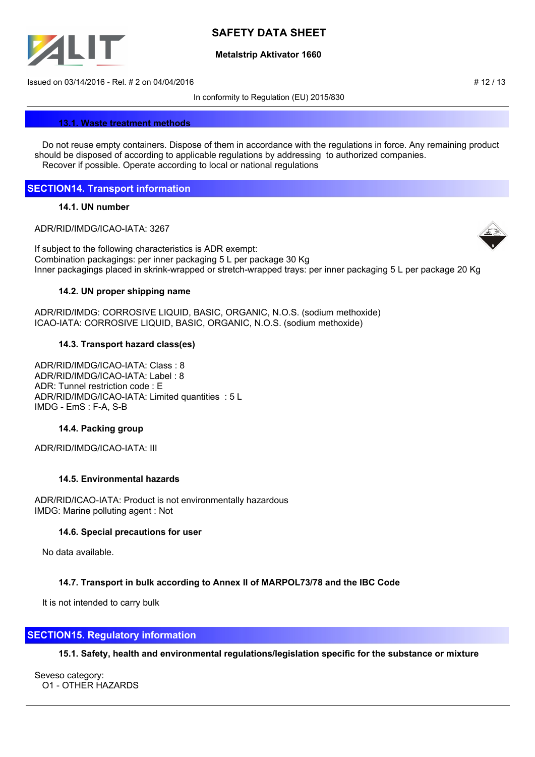

### **Metalstrip Aktivator 1660**

Issued on 03/14/2016 - Rel. # 2 on 04/04/2016 **# 12/2016**  $\qquad$  # 12/13

In conformity to Regulation (EU) 2015/830

#### **13.1. Waste treatment methods**

 Do not reuse empty containers. Dispose of them in accordance with the regulations in force. Any remaining product should be disposed of according to applicable regulations by addressing to authorized companies. Recover if possible. Operate according to local or national regulations

## **SECTION14. Transport information**

### **14.1. UN number**

ADR/RID/IMDG/ICAO-IATA: 3267



If subject to the following characteristics is ADR exempt: Combination packagings: per inner packaging 5 L per package 30 Kg Inner packagings placed in skrink-wrapped or stretch-wrapped trays: per inner packaging 5 L per package 20 Kg

### **14.2. UN proper shipping name**

ADR/RID/IMDG: CORROSIVE LIQUID, BASIC, ORGANIC, N.O.S. (sodium methoxide) ICAO-IATA: CORROSIVE LIQUID, BASIC, ORGANIC, N.O.S. (sodium methoxide)

## **14.3. Transport hazard class(es)**

ADR/RID/IMDG/ICAO-IATA: Class : 8 ADR/RID/IMDG/ICAO-IATA: Label : 8 ADR: Tunnel restriction code : E ADR/RID/IMDG/ICAO-IATA: Limited quantities : 5 L IMDG - EmS : F-A, S-B

## **14.4. Packing group**

ADR/RID/IMDG/ICAO-IATA: III

## **14.5. Environmental hazards**

ADR/RID/ICAO-IATA: Product is not environmentally hazardous IMDG: Marine polluting agent : Not

## **14.6. Special precautions for user**

No data available.

## **14.7. Transport in bulk according to Annex II of MARPOL73/78 and the IBC Code**

It is not intended to carry bulk

## **SECTION15. Regulatory information**

## **15.1. Safety, health and environmental regulations/legislation specific for the substance or mixture**

Seveso category: O1 - OTHER HAZARDS